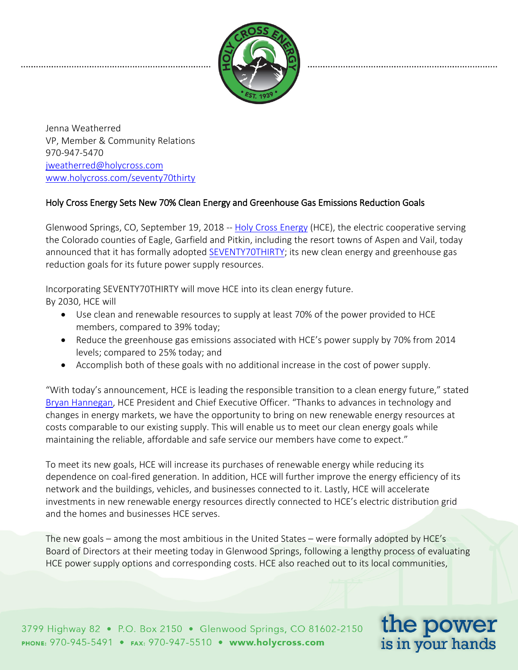

Jenna Weatherred VP, Member & Community Relations 970-947-5470 [jweatherred@holycross.com](mailto:jweatherred@holycross.com) [www.holycross.com/](http://www.holycross.com/)seventy70thirty

## Holy Cross Energy Sets New 70% Clean Energy and Greenhouse Gas Emissions Reduction Goals

Glenwood Springs, CO, September 19, 2018 -- [Holy Cross Energy](https://www.holycross.com/) (HCE), the electric cooperative serving the Colorado counties of Eagle, Garfield and Pitkin, including the resort towns of Aspen and Vail, today announced that it has formally adopted [SEVENTY70THIRTY;](http://www.holycross.com/SEVENTY70THIRTY) its new clean energy and greenhouse gas reduction goals for its future power supply resources.

Incorporating SEVENTY70THIRTY will move HCE into its clean energy future. By 2030, HCE will

- Use clean and renewable resources to supply at least 70% of the power provided to HCE members, compared to 39% today;
- Reduce the greenhouse gas emissions associated with HCE's power supply by 70% from 2014 levels; compared to 25% today; and
- Accomplish both of these goals with no additional increase in the cost of power supply.

"With today's announcement, HCE is leading the responsible transition to a clean energy future," stated [Bryan Hannegan,](https://www.holycross.com/leadership/bryan-hannegan/) HCE President and Chief Executive Officer. "Thanks to advances in technology and changes in energy markets, we have the opportunity to bring on new renewable energy resources at costs comparable to our existing supply. This will enable us to meet our clean energy goals while maintaining the reliable, affordable and safe service our members have come to expect."

To meet its new goals, HCE will increase its purchases of renewable energy while reducing its dependence on coal-fired generation. In addition, HCE will further improve the energy efficiency of its network and the buildings, vehicles, and businesses connected to it. Lastly, HCE will accelerate investments in new renewable energy resources directly connected to HCE's electric distribution grid and the homes and businesses HCE serves.

The new goals – among the most ambitious in the United States – were formally adopted by HCE's Board of Directors at their meeting today in Glenwood Springs, following a lengthy process of evaluating HCE power supply options and corresponding costs. HCE also reached out to its local communities,

3799 Highway 82 • P.O. Box 2150 • Glenwood Springs, CO 81602-2150 PHONE: 970-945-5491 · FAX: 970-947-5510 · www.holycross.com

the power is in your hands